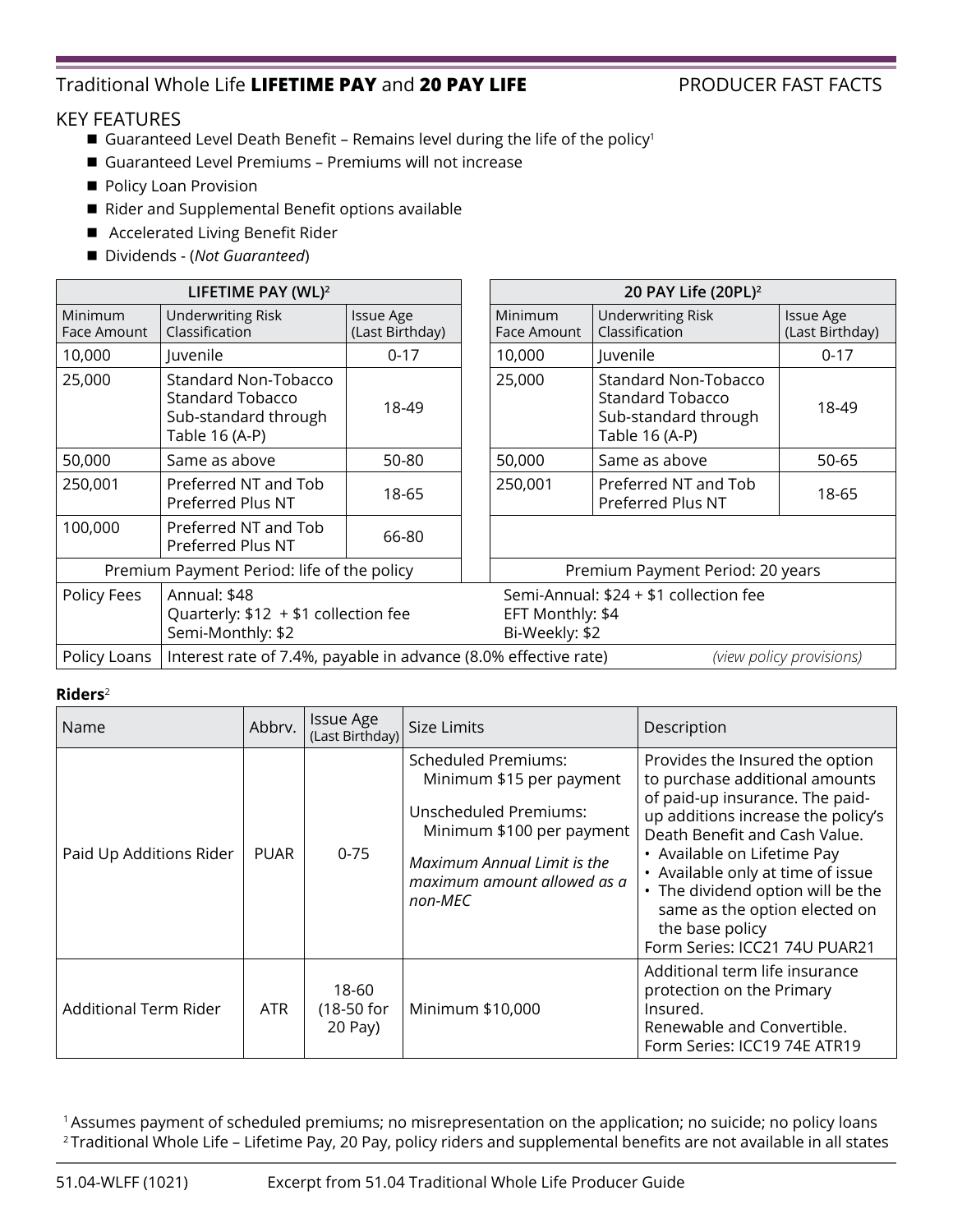## Traditional Whole Life **LIFETIME PAY** and **20 PAY LIFE** PRODUCER FAST FACTS

### KEY FEATURES

- Guaranteed Level Death Benefit Remains level during the life of the policy<sup>1</sup>
- Guaranteed Level Premiums Premiums will not increase
- Policy Loan Provision
- Rider and Supplemental Benefit options available
- Accelerated Living Benefit Rider
- Dividends (*Not Guaranteed*)

| LIFETIME PAY (WL) <sup>2</sup>             |                                                                                             |                                     |  | 20 PAY Life (20PL) <sup>2</sup>                                              |                                                                                           |                                     |  |
|--------------------------------------------|---------------------------------------------------------------------------------------------|-------------------------------------|--|------------------------------------------------------------------------------|-------------------------------------------------------------------------------------------|-------------------------------------|--|
| Minimum<br>Face Amount                     | <b>Underwriting Risk</b><br>Classification                                                  | <b>Issue Age</b><br>(Last Birthday) |  | <b>Minimum</b><br>Face Amount                                                | <b>Underwriting Risk</b><br>Classification                                                | <b>Issue Age</b><br>(Last Birthday) |  |
| 10,000                                     | Juvenile                                                                                    | $0 - 17$                            |  | 10,000                                                                       | Juvenile                                                                                  | $0 - 17$                            |  |
| 25,000                                     | Standard Non-Tobacco<br><b>Standard Tobacco</b><br>Sub-standard through<br>Table 16 (A-P)   | 18-49                               |  | 25,000                                                                       | Standard Non-Tobacco<br><b>Standard Tobacco</b><br>Sub-standard through<br>Table 16 (A-P) | 18-49                               |  |
| 50,000                                     | Same as above                                                                               | 50-80                               |  | 50,000                                                                       | Same as above                                                                             | 50-65                               |  |
| 250,001                                    | Preferred NT and Tob<br>Preferred Plus NT                                                   | 18-65                               |  | 250,001                                                                      | Preferred NT and Tob<br>Preferred Plus NT                                                 | 18-65                               |  |
| 100,000                                    | Preferred NT and Tob<br>Preferred Plus NT                                                   | 66-80                               |  |                                                                              |                                                                                           |                                     |  |
| Premium Payment Period: life of the policy |                                                                                             |                                     |  | Premium Payment Period: 20 years                                             |                                                                                           |                                     |  |
| Policy Fees                                | Annual: \$48<br>Quarterly: $$12 + $1$ collection fee<br>Semi-Monthly: \$2                   |                                     |  | Semi-Annual: \$24 + \$1 collection fee<br>EFT Monthly: \$4<br>Bi-Weekly: \$2 |                                                                                           |                                     |  |
| Policy Loans                               | Interest rate of 7.4%, payable in advance (8.0% effective rate)<br>(view policy provisions) |                                     |  |                                                                              |                                                                                           |                                     |  |

#### **Riders**<sup>2</sup>

| Name                         | Abbrv.      | <b>Issue Age</b><br>(Last Birthday) | Size Limits                                                                                                                                                                                  | Description                                                                                                                                                                                                                                                                                                                                                               |
|------------------------------|-------------|-------------------------------------|----------------------------------------------------------------------------------------------------------------------------------------------------------------------------------------------|---------------------------------------------------------------------------------------------------------------------------------------------------------------------------------------------------------------------------------------------------------------------------------------------------------------------------------------------------------------------------|
| Paid Up Additions Rider      | <b>PUAR</b> | $0 - 75$                            | <b>Scheduled Premiums:</b><br>Minimum \$15 per payment<br><b>Unscheduled Premiums:</b><br>Minimum \$100 per payment<br>Maximum Annual Limit is the<br>maximum amount allowed as a<br>non-MEC | Provides the Insured the option<br>to purchase additional amounts<br>of paid-up insurance. The paid-<br>up additions increase the policy's<br>Death Benefit and Cash Value.<br>• Available on Lifetime Pay<br>• Available only at time of issue<br>• The dividend option will be the<br>same as the option elected on<br>the base policy<br>Form Series: ICC21 74U PUAR21 |
| <b>Additional Term Rider</b> | <b>ATR</b>  | 18-60<br>(18-50 for<br>20 Pay)      | Minimum \$10,000                                                                                                                                                                             | Additional term life insurance<br>protection on the Primary<br>Insured.<br>Renewable and Convertible.<br>Form Series: ICC19 74E ATR19                                                                                                                                                                                                                                     |

<sup>1</sup> Assumes payment of scheduled premiums; no misrepresentation on the application; no suicide; no policy loans <sup>2</sup> Traditional Whole Life – Lifetime Pay, 20 Pay, policy riders and supplemental benefits are not available in all states